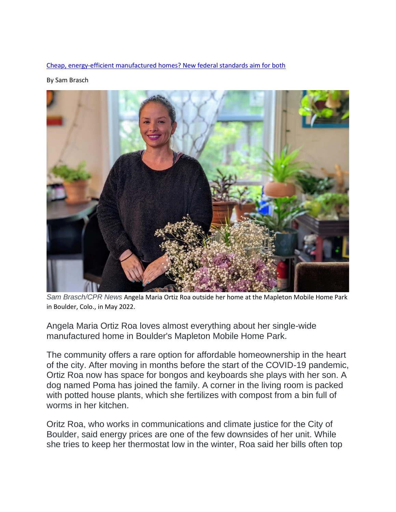[Cheap, energy-efficient manufactured homes? New federal standards aim for both](https://www.cpr.org/2022/06/08/mobile-home-parks-energy-efficient-policies/)

By Sam Brasch



*Sam Brasch/CPR News* Angela Maria Ortiz Roa outside her home at the Mapleton Mobile Home Park in Boulder, Colo., in May 2022.

Angela Maria Ortiz Roa loves almost everything about her single-wide manufactured home in Boulder's Mapleton Mobile Home Park.

The community offers a rare option for affordable homeownership in the heart of the city. After moving in months before the start of the COVID-19 pandemic, Ortiz Roa now has space for bongos and keyboards she plays with her son. A dog named Poma has joined the family. A corner in the living room is packed with potted house plants, which she fertilizes with compost from a bin full of worms in her kitchen.

Oritz Roa, who works in communications and climate justice for the City of Boulder, said energy prices are one of the few downsides of her unit. While she tries to keep her thermostat low in the winter, Roa said her bills often top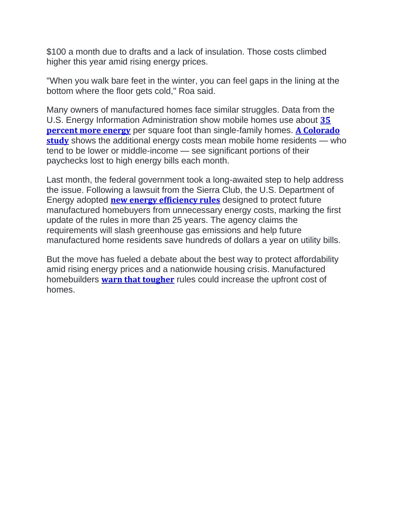\$100 a month due to drafts and a lack of insulation. Those costs climbed higher this year amid rising energy prices.

"When you walk bare feet in the winter, you can feel gaps in the lining at the bottom where the floor gets cold," Roa said.

Many owners of manufactured homes face similar struggles. Data from the U.S. Energy Information Administration show mobile homes use about **[35](https://www.eia.gov/consumption/residential/data/2015/c&e/pdf/ce1.1.pdf) [percent](https://www.eia.gov/consumption/residential/data/2015/c&e/pdf/ce1.1.pdf) more energy** per square foot than single-family homes. **A [Colorado](https://energyoffice.colorado.gov/press-releases/colorado-energy-office-releases-energy-affordability-study-to-inform-strategies-to) [study](https://energyoffice.colorado.gov/press-releases/colorado-energy-office-releases-energy-affordability-study-to-inform-strategies-to)** shows the additional energy costs mean mobile home residents — who tend to be lower or middle-income — see significant portions of their paychecks lost to high energy bills each month.

Last month, the federal government took a long-awaited step to help address the issue. Following a lawsuit from the Sierra Club, the U.S. Department of Energy adopted **new energy [efficiency](https://www.energy.gov/articles/doe-updates-mobile-home-efficiency-standards-lower-household-energy-bills) rules** designed to protect future manufactured homebuyers from unnecessary energy costs, marking the first update of the rules in more than 25 years. The agency claims the requirements will slash greenhouse gas emissions and help future manufactured home residents save hundreds of dollars a year on utility bills.

But the move has fueled a debate about the best way to protect affordability amid rising energy prices and a nationwide housing crisis. Manufactured homebuilders **warn that [tougher](https://www.manufacturedhousing.org/wp-content/uploads/2022/05/Manufactured-Housing-Institute-Comments-to-DOE-about-Environmental-Impact-Statement-and-Proposed-MH-Energy-Standards.pdf)** rules could increase the upfront cost of homes.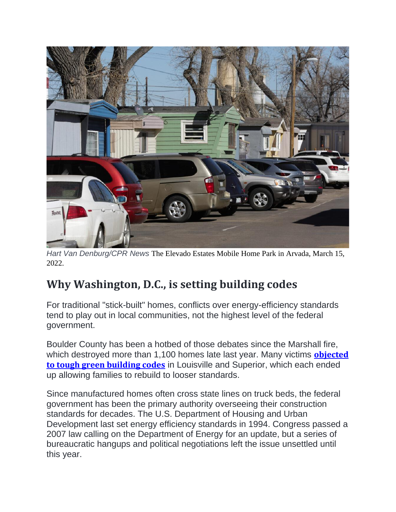

*Hart Van Denburg/CPR News* The Elevado Estates Mobile Home Park in Arvada, March 15, 2022.

## **Why Washington, D.C., is setting building codes**

For traditional "stick-built" homes, conflicts over energy-efficiency standards tend to play out in local communities, not the highest level of the federal government.

Boulder County has been a hotbed of those debates since the Marshall fire, which destroyed more than 1,100 homes late last year. Many victims **[objected](https://www.cpr.org/2022/02/09/marshall-fire-louisvilles-green-building-codes/) to tough green [building](https://www.cpr.org/2022/02/09/marshall-fire-louisvilles-green-building-codes/) codes** in Louisville and Superior, which each ended up allowing families to rebuild to looser standards.

Since manufactured homes often cross state lines on truck beds, the federal government has been the primary authority overseeing their construction standards for decades. The U.S. Department of Housing and Urban Development last set energy efficiency standards in 1994. Congress passed a 2007 law calling on the Department of Energy for an update, but a series of bureaucratic hangups and political negotiations left the issue unsettled until this year.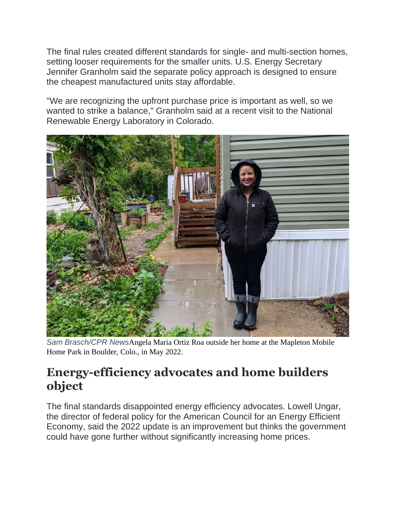The final rules created different standards for single- and multi-section homes, setting looser requirements for the smaller units. U.S. Energy Secretary Jennifer Granholm said the separate policy approach is designed to ensure the cheapest manufactured units stay affordable.

"We are recognizing the upfront purchase price is important as well, so we wanted to strike a balance," Granholm said at a recent visit to the National Renewable Energy Laboratory in Colorado.



*Sam Brasch/CPR News*Angela Maria Ortiz Roa outside her home at the Mapleton Mobile Home Park in Boulder, Colo., in May 2022.

## **Energy-efficiency advocates and home builders object**

The final standards disappointed energy efficiency advocates. Lowell Ungar, the director of federal policy for the American Council for an Energy Efficient Economy, said the 2022 update is an improvement but thinks the government could have gone further without significantly increasing home prices.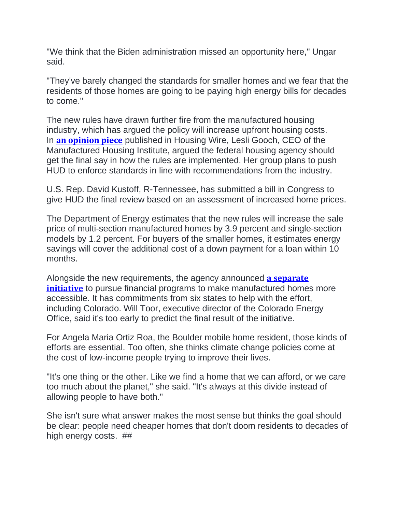"We think that the Biden administration missed an opportunity here," Ungar said.

"They've barely changed the standards for smaller homes and we fear that the residents of those homes are going to be paying high energy bills for decades to come."

The new rules have drawn further fire from the manufactured housing industry, which has argued the policy will increase upfront housing costs. In **an [opinion](https://www.housingwire.com/articles/opinion-a-more-balanced-approach-to-manufactured-home-energy-efficiency%EF%BF%BC/) piece** published in Housing Wire, Lesli Gooch, CEO of the Manufactured Housing Institute, argued the federal housing agency should get the final say in how the rules are implemented. Her group plans to push HUD to enforce standards in line with recommendations from the industry.

U.S. Rep. David Kustoff, R-Tennessee, has submitted a bill in Congress to give HUD the final review based on an assessment of increased home prices.

The Department of Energy estimates that the new rules will increase the sale price of multi-section manufactured homes by 3.9 percent and single-section models by 1.2 percent. For buyers of the smaller homes, it estimates energy savings will cover the additional cost of a down payment for a loan within 10 months.

Alongside the new requirements, the agency announced **a [separate](https://www.energy.gov/eere/buildings/does-role-manufactured-housing) [initiative](https://www.energy.gov/eere/buildings/does-role-manufactured-housing)** to pursue financial programs to make manufactured homes more accessible. It has commitments from six states to help with the effort, including Colorado. Will Toor, executive director of the Colorado Energy Office, said it's too early to predict the final result of the initiative.

For Angela Maria Ortiz Roa, the Boulder mobile home resident, those kinds of efforts are essential. Too often, she thinks climate change policies come at the cost of low-income people trying to improve their lives.

"It's one thing or the other. Like we find a home that we can afford, or we care too much about the planet," she said. "It's always at this divide instead of allowing people to have both."

She isn't sure what answer makes the most sense but thinks the goal should be clear: people need cheaper homes that don't doom residents to decades of high energy costs. ##